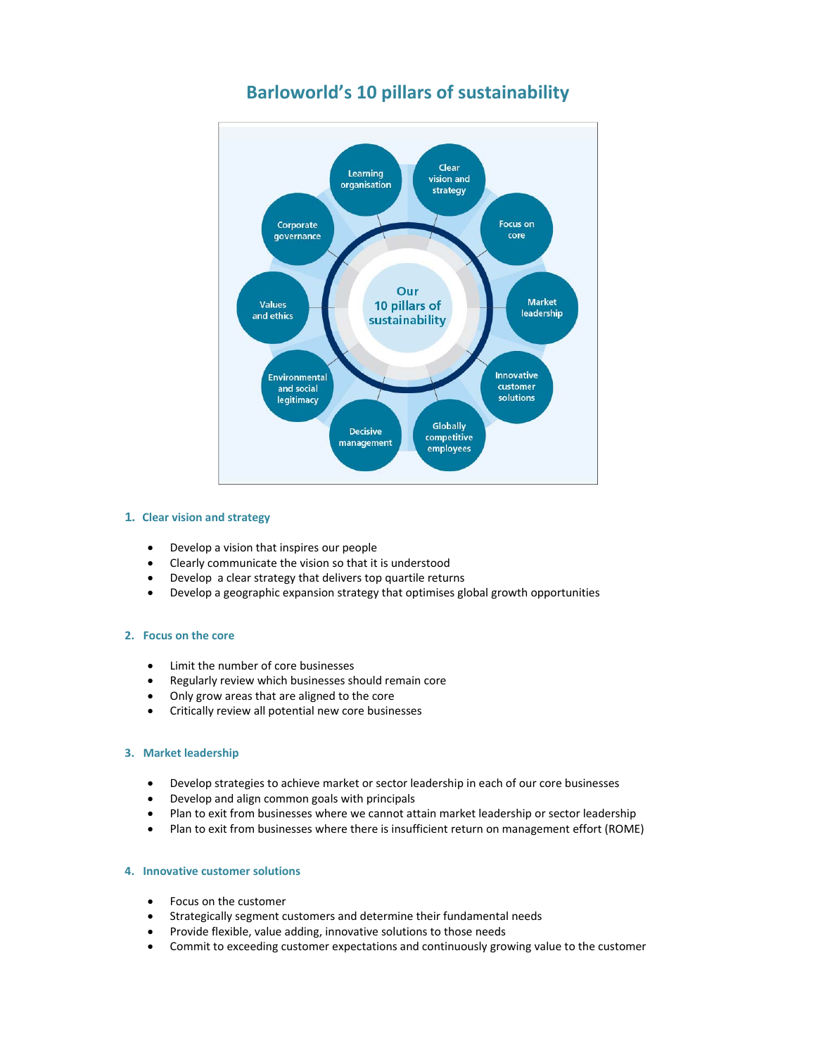

# **Barloworld's 10 pillars of sustainability**

## **1. Clear vision and strategy**

- Develop a vision that inspires our people
- Clearly communicate the vision so that it is understood
- Develop a clear strategy that delivers top quartile returns
- Develop a geographic expansion strategy that optimises global growth opportunities

## **2. Focus on the core**

- Limit the number of core businesses
- Regularly review which businesses should remain core
- Only grow areas that are aligned to the core
- Critically review all potential new core businesses

## **3. Market leadership**

- Develop strategies to achieve market or sector leadership in each of our core businesses
- Develop and align common goals with principals
- Plan to exit from businesses where we cannot attain market leadership or sector leadership
- Plan to exit from businesses where there is insufficient return on management effort (ROME)

# **4. Innovative customer solutions**

- Focus on the customer
- Strategically segment customers and determine their fundamental needs
- Provide flexible, value adding, innovative solutions to those needs
- Commit to exceeding customer expectations and continuously growing value to the customer